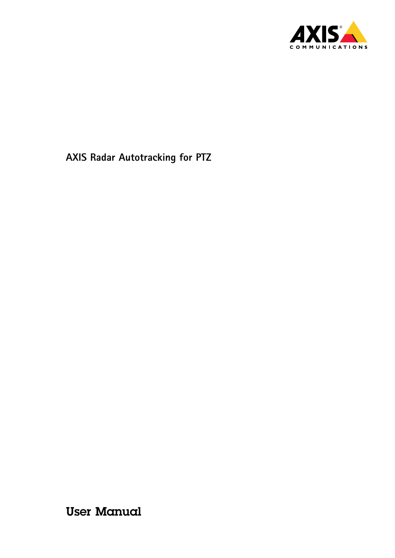

User Manual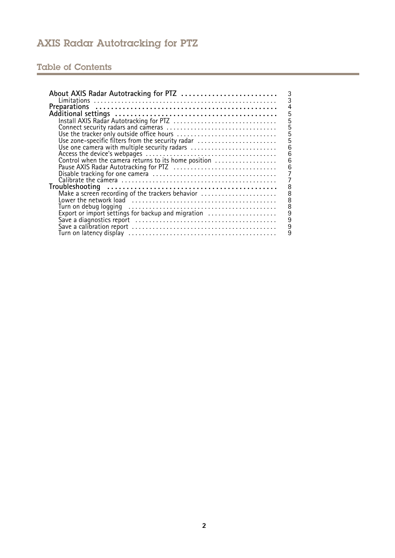# Table of Contents

| About AXIS Radar Autotracking for PTZ<br>3                  |
|-------------------------------------------------------------|
|                                                             |
| <b>Preparations</b>                                         |
| 5                                                           |
| 5<br>Install AXIS Radar Autotracking for PTZ                |
| 5                                                           |
| $\overline{5}$<br>Use the tracker only outside office hours |
| 5<br>Use zone-specific filters from the security radar      |
| 6<br>Use one camera with multiple security radars           |
| 6                                                           |
| 6<br>Control when the camera returns to its home position   |
| 6                                                           |
|                                                             |
|                                                             |
| 8                                                           |
| Make a screen recording of the trackers behavior<br>8       |
| 8                                                           |
| 8                                                           |
| 9                                                           |
| Export or import settings for backup and migration          |
| 9                                                           |
| 9                                                           |
|                                                             |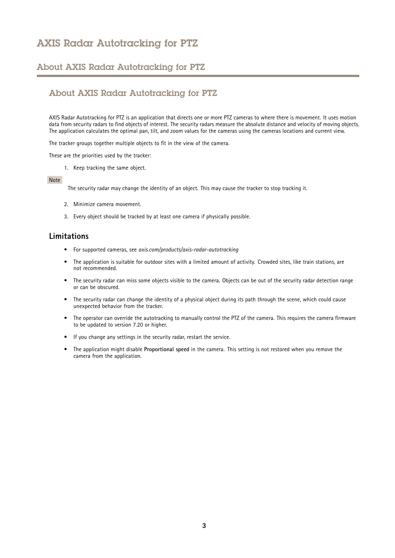#### <span id="page-2-0"></span>About AXIS Radar Autotracking for PTZ

#### About AXIS Radar Autotracking for PTZ

AXIS Radar Autotracking for PTZ is an application that directs one or more PTZ cameras to where there is movement. It uses motion data from security radars to find objects of interest. The security radars measure the absolute distance and velocity of moving objects. The application calculates the optimal pan, tilt, and zoom values for the cameras using the cameras locations and current view.

The tracker groups together multiple objects to fit in the view of the camera.

These are the priorities used by the tracker:

1. Keep tracking the same object.

#### Note

The security radar may change the identity of an object. This may cause the tracker to stop tracking it.

- 2. Minimize camera movement.
- 3. Every object should be tracked by at least one camera if physically possible.

#### **Limitations**

- For supported cameras, see *axis.com/products/axis-radar-autotracking*
- The application is suitable for outdoor sites with <sup>a</sup> limited amount of activity. Crowded sites, like train stations, are not recommended.
- The security radar can miss some objects visible to the camera. Objects can be out of the security radar detection range or can be obscured.
- The security radar can change the identity of <sup>a</sup> physical object during its path through the scene, which could cause unexpected behavior from the tracker.
- The operator can override the autotracking to manually control the PTZ of the camera. This requires the camera firmware to be updated to version 7.20 or higher.
- If you change any settings in the security radar, restart the service.
- • The application might disable **Proportional speed** in the camera. This setting is not restored when you remove the camera from the application.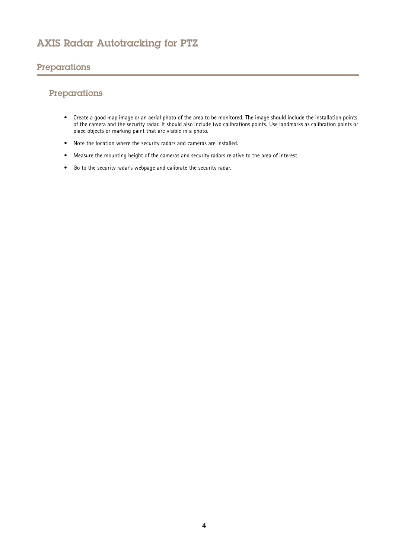#### <span id="page-3-0"></span>Preparations

### Preparations

- Create <sup>a</sup> good map image or an aerial photo of the area to be monitored. The image should include the installation points of the camera and the security radar. It should also include two calibrations points. Use landmarks as calibration points or place objects or marking paint that are visible in <sup>a</sup> photo.
- Note the location where the security radars and cameras are installed.
- Measure the mounting height of the cameras and security radars relative to the area of interest.
- Go to the security radar's webpage and calibrate the security radar.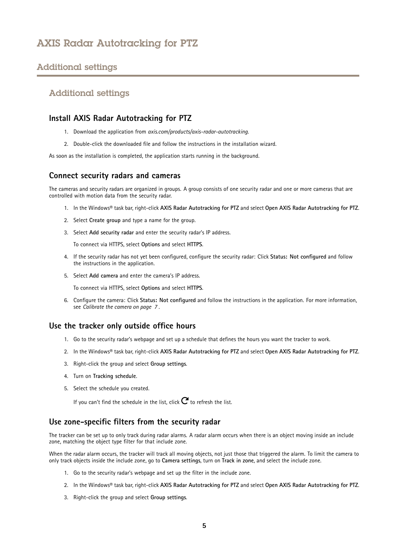### <span id="page-4-0"></span>Additional settings

#### Additional settings

#### **Install AXIS Radar Autotracking for PTZ**

- 1. Download the application from *axis.com/products/axis-radar-autotracking*.
- 2. Double-click the downloaded file and follow the instructions in the installation wizard.

As soon as the installation is completed, the application starts running in the background.

#### **Connect security radars and cameras**

The cameras and security radars are organized in groups. A group consists of one security radar and one or more cameras that are controlled with motion data from the security radar.

- 1. In the Windows® task bar, right-click **AXIS Radar Autotracking for PTZ** and select **Open AXIS Radar Autotracking for PTZ**.
- 2. Select **Create group** and type <sup>a</sup> name for the group.
- 3. Select **Add security radar** and enter the security radar's IP address.

To connect via HTTPS, select **Options** and select **HTTPS**.

- 4. If the security radar has not yet been configured, configure the security radar: Click **Status: Not configured** and follow the instructions in the application.
- 5. Select **Add camera** and enter the camera's IP address.

To connect via HTTPS, select **Options** and select **HTTPS**.

6. Configure the camera: Click **Status: Not configured** and follow the instructions in the application. For more information, see *[Calibrate](#page-6-0) the camera on page [7](#page-6-0)* .

#### **Use the tracker only outside office hours**

- 1. Go to the security radar's webpage and set up <sup>a</sup> schedule that defines the hours you want the tracker to work.
- 2. In the Windows® task bar, right-click **AXIS Radar Autotracking for PTZ** and select **Open AXIS Radar Autotracking for PTZ**.
- 3. Right-click the group and select **Group settings**.
- 4. Turn on **Tracking schedule**.
- 5. Select the schedule you created.

If you can't find the schedule in the list, click  $\mathbf C$  to refresh the list.

#### **Use zone-specific filters from the security radar**

The tracker can be set up to only track during radar alarms. A radar alarm occurs when there is an object moving inside an include zone, matching the object type filter for that include zone.

When the radar alarm occurs, the tracker will track all moving objects, not just those that triggered the alarm. To limit the camera to only track objects inside the include zone, go to **Camera settings**, turn on **Track in zone**, and select the include zone.

- 1. Go to the security radar's webpage and set up the filter in the include zone.
- 2. In the Windows® task bar, right-click **AXIS Radar Autotracking for PTZ** and select **Open AXIS Radar Autotracking for PTZ**.
- 3. Right-click the group and select **Group settings**.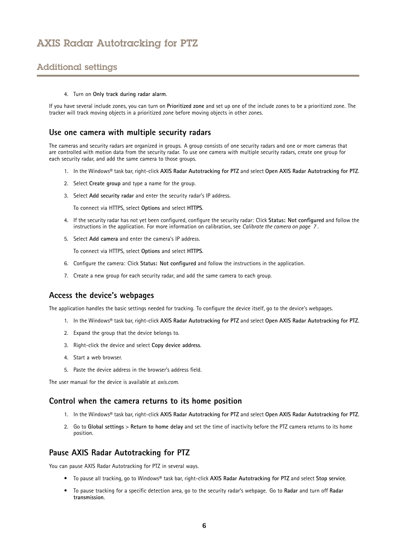### <span id="page-5-0"></span>Additional settings

4. Turn on **Only track during radar alarm**.

If you have several include zones, you can turn on **Prioritized zone** and set up one of the include zones to be <sup>a</sup> prioritized zone. The tracker will track moving objects in <sup>a</sup> prioritized zone before moving objects in other zones.

#### **Use one camera with multiple security radars**

The cameras and security radars are organized in groups. A group consists of one security radars and one or more cameras that are controlled with motion data from the security radar. To use one camera with multiple security radars, create one group for each security radar, and add the same camera to those groups.

- 1. In the Windows® task bar, right-click **AXIS Radar Autotracking for PTZ** and select **Open AXIS Radar Autotracking for PTZ**.
- 2. Select **Create group** and type <sup>a</sup> name for the group.
- 3. Select **Add security radar** and enter the security radar's IP address.

To connect via HTTPS, select **Options** and select **HTTPS**.

- 4. If the security radar has not yet been configured, configure the security radar: Click **Status: Not configured** and follow the instructions in the application. For more information on calibration, see *[Calibrate](#page-6-0) the camera on page [7](#page-6-0)* .
- 5. Select **Add camera** and enter the camera's IP address.

To connect via HTTPS, select **Options** and select **HTTPS**.

- 6. Configure the camera: Click **Status: Not configured** and follow the instructions in the application.
- 7. Create <sup>a</sup> new group for each security radar, and add the same camera to each group.

#### **Access the device's webpages**

The application handles the basic settings needed for tracking. To configure the device itself, go to the device's webpages.

- 1. In the Windows® task bar, right-click **AXIS Radar Autotracking for PTZ** and select **Open AXIS Radar Autotracking for PTZ**.
- 2. Expand the group that the device belongs to.
- 3. Right-click the device and select **Copy device address**.
- 4. Start <sup>a</sup> web browser.
- 5. Paste the device address in the browser's address field.

The user manual for the device is available at *[axis.com](https://www.axis.com)*.

#### **Control when the camera returns to its home position**

- 1. In the Windows® task bar, right-click **AXIS Radar Autotracking for PTZ** and select **Open AXIS Radar Autotracking for PTZ**.
- 2. Go to **Global settings** <sup>&</sup>gt; **Return to home delay** and set the time of inactivity before the PTZ camera returns to its home position.

#### **Pause AXIS Radar Autotracking for PTZ**

You can pause AXIS Radar Autotracking for PTZ in several ways.

- To pause all tracking, go to Windows® task bar, right-click **AXIS Radar Autotracking for PTZ** and select **Stop service**.
- To pause tracking for <sup>a</sup> specific detection area, go to the security radar's webpage. Go to **Radar** and turn off **Radar transmission**.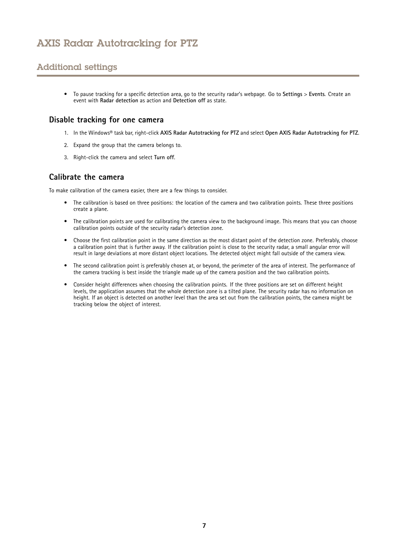### <span id="page-6-0"></span>Additional settings

• To pause tracking for <sup>a</sup> specific detection area, go to the security radar's webpage. Go to **Settings** <sup>&</sup>gt; **Events**. Create an event with **Radar detection** as action and **Detection off** as state.

#### **Disable tracking for one camera**

- 1. In the Windows® task bar, right-click **AXIS Radar Autotracking for PTZ** and select **Open AXIS Radar Autotracking for PTZ**.
- 2. Expand the group that the camera belongs to.
- 3. Right-click the camera and select **Turn off**.

#### **Calibrate the camera**

To make calibration of the camera easier, there are <sup>a</sup> few things to consider.

- The calibration is based on three positions: the location of the camera and two calibration points. These three positions create <sup>a</sup> plane.
- • The calibration points are used for calibrating the camera view to the background image. This means that you can choose calibration points outside of the security radar's detection zone.
- Choose the first calibration point in the same direction as the most distant point of the detection zone. Preferably, choose <sup>a</sup> calibration point that is further away. If the calibration point is close to the security radar, <sup>a</sup> small angular error will result in large deviations at more distant object locations. The detected object might fall outside of the camera view.
- • The second calibration point is preferably chosen at, or beyond, the perimeter of the area of interest. The performance of the camera tracking is best inside the triangle made up of the camera position and the two calibration points.
- • Consider height differences when choosing the calibration points. If the three positions are set on different height levels, the application assumes that the whole detection zone is <sup>a</sup> tilted plane. The security radar has no information on height. If an object is detected on another level than the area set out from the calibration points, the camera might be tracking below the object of interest.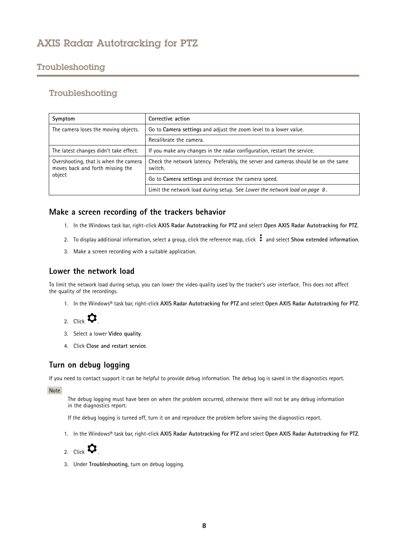### <span id="page-7-0"></span>Troubleshooting

#### Troubleshooting

| Symptom                                                                             | Corrective action                                                                              |
|-------------------------------------------------------------------------------------|------------------------------------------------------------------------------------------------|
| The camera loses the moving objects.                                                | Go to Camera settings and adjust the zoom level to a lower value.                              |
|                                                                                     | Recalibrate the camera.                                                                        |
| The latest changes didn't take effect.                                              | If you make any changes in the radar configuration, restart the service.                       |
| Overshooting, that is when the camera<br>moves back and forth missing the<br>object | Check the network latency. Preferably, the server and cameras should be on the same<br>switch. |
|                                                                                     | Go to Camera settings and decrease the camera speed.                                           |
|                                                                                     | Limit the network load during setup. See Lower the network load on page 8.                     |

#### **Make <sup>a</sup> screen recording of the trackers behavior**

- 1. In the Windows task bar, right-click **AXIS Radar Autotracking for PTZ** and select **Open AXIS Radar Autotracking for PTZ**.
- 2. To display additional information, select a group, click the reference map, click  $\cdot$  and select **Show** extended information.
- 3. Make <sup>a</sup> screen recording with <sup>a</sup> suitable application.

#### **Lower the network load**

To limit the network load during setup, you can lower the video quality used by the tracker's user interface. This does not affect the quality of the recordings.

1. In the Windows® task bar, right-click **AXIS Radar Autotracking for PTZ** and select **Open AXIS Radar Autotracking for PTZ**.

2. Click  $\bullet$ 

- 3. Select <sup>a</sup> lower **Video quality**.
- 4. Click **Close and restart service**.

#### **Turn on debug logging**

If you need to contact support it can be helpful to provide debug information. The debug log is saved in the diagnostics report.

Note

The debug logging must have been on when the problem occurred, otherwise there will not be any debug information in the diagnostics report.

If the debug logging is turned off, turn it on and reproduce the problem before saving the diagnostics report.

1. In the Windows® task bar, right-click **AXIS Radar Autotracking for PTZ** and select **Open AXIS Radar Autotracking for PTZ**.



3. Under **Troubleshooting**, turn on debug logging.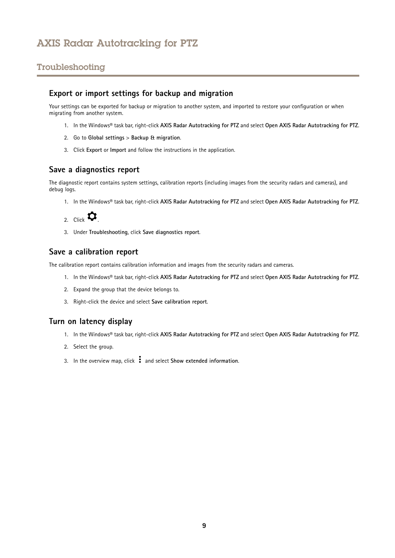### <span id="page-8-0"></span>Troubleshooting

#### **Export or import settings for backup and migration**

Your settings can be exported for backup or migration to another system, and imported to restore your configuration or when migrating from another system.

- 1. In the Windows® task bar, right-click **AXIS Radar Autotracking for PTZ** and select **Open AXIS Radar Autotracking for PTZ**.
- 2. Go to **Global settings** <sup>&</sup>gt; **Backup & migration**.
- 3. Click **Export** or **Import** and follow the instructions in the application.

#### **Save <sup>a</sup> diagnostics report**

The diagnostic report contains system settings, calibration reports (including images from the security radars and cameras), and debug logs.

1. In the Windows® task bar, right-click **AXIS Radar Autotracking for PTZ** and select **Open AXIS Radar Autotracking for PTZ**.



3. Under **Troubleshooting**, click **Save diagnostics report**.

#### **Save <sup>a</sup> calibration report**

The calibration report contains calibration information and images from the security radars and cameras.

- 1. In the Windows® task bar, right-click **AXIS Radar Autotracking for PTZ** and select **Open AXIS Radar Autotracking for PTZ**.
- 2. Expand the group that the device belongs to.
- 3. Right-click the device and select **Save calibration report**.

#### **Turn on latency display**

- 1. In the Windows® task bar, right-click **AXIS Radar Autotracking for PTZ** and select **Open AXIS Radar Autotracking for PTZ**.
- 2. Select the group.
- 3. In the overview map, click and select **Show extended information**.